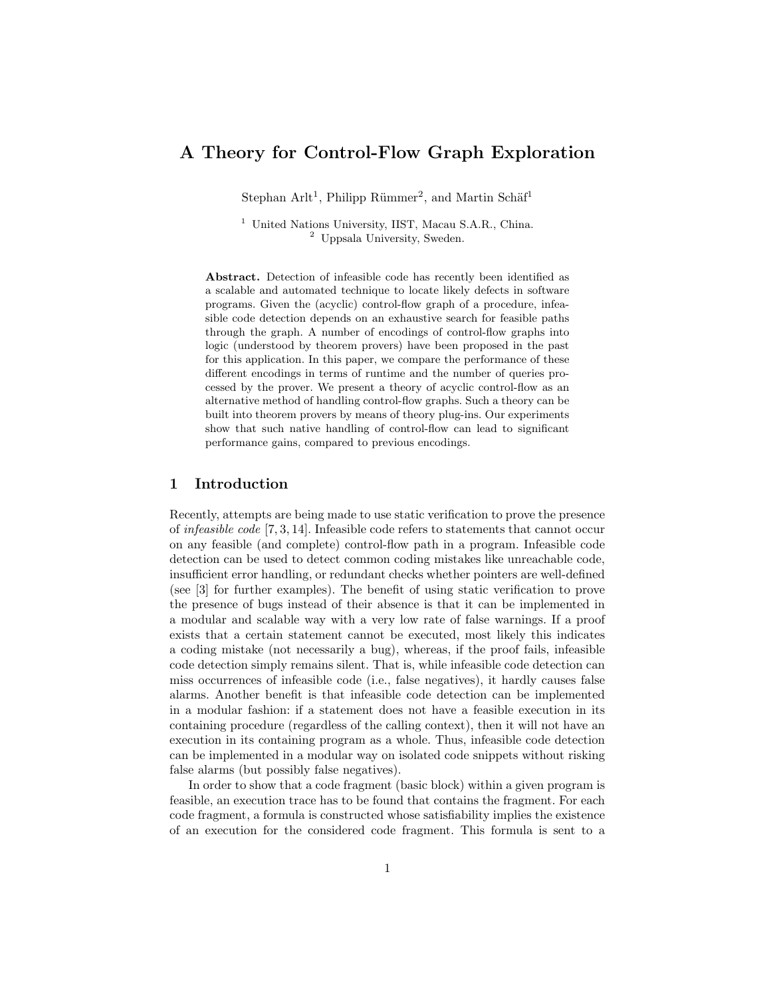# A Theory for Control-Flow Graph Exploration

 $Stephan$  Arlt<sup>1</sup>, Philipp Rümmer<sup>2</sup>, and Martin Schäf<sup>1</sup>

<sup>1</sup> United Nations University, IIST, Macau S.A.R., China. <sup>2</sup> Uppsala University, Sweden.

Abstract. Detection of infeasible code has recently been identified as a scalable and automated technique to locate likely defects in software programs. Given the (acyclic) control-flow graph of a procedure, infeasible code detection depends on an exhaustive search for feasible paths through the graph. A number of encodings of control-flow graphs into logic (understood by theorem provers) have been proposed in the past for this application. In this paper, we compare the performance of these different encodings in terms of runtime and the number of queries processed by the prover. We present a theory of acyclic control-flow as an alternative method of handling control-flow graphs. Such a theory can be built into theorem provers by means of theory plug-ins. Our experiments show that such native handling of control-flow can lead to significant performance gains, compared to previous encodings.

# 1 Introduction

Recently, attempts are being made to use static verification to prove the presence of infeasible code [7, 3, 14]. Infeasible code refers to statements that cannot occur on any feasible (and complete) control-flow path in a program. Infeasible code detection can be used to detect common coding mistakes like unreachable code, insufficient error handling, or redundant checks whether pointers are well-defined (see [3] for further examples). The benefit of using static verification to prove the presence of bugs instead of their absence is that it can be implemented in a modular and scalable way with a very low rate of false warnings. If a proof exists that a certain statement cannot be executed, most likely this indicates a coding mistake (not necessarily a bug), whereas, if the proof fails, infeasible code detection simply remains silent. That is, while infeasible code detection can miss occurrences of infeasible code (i.e., false negatives), it hardly causes false alarms. Another benefit is that infeasible code detection can be implemented in a modular fashion: if a statement does not have a feasible execution in its containing procedure (regardless of the calling context), then it will not have an execution in its containing program as a whole. Thus, infeasible code detection can be implemented in a modular way on isolated code snippets without risking false alarms (but possibly false negatives).

In order to show that a code fragment (basic block) within a given program is feasible, an execution trace has to be found that contains the fragment. For each code fragment, a formula is constructed whose satisfiability implies the existence of an execution for the considered code fragment. This formula is sent to a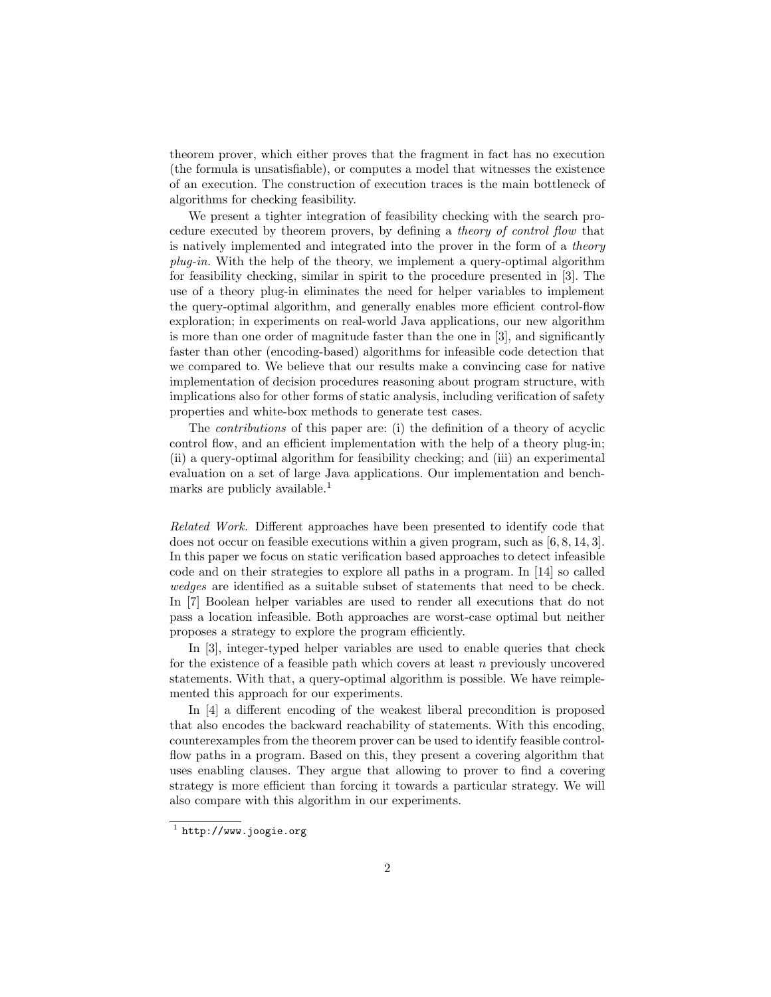theorem prover, which either proves that the fragment in fact has no execution (the formula is unsatisfiable), or computes a model that witnesses the existence of an execution. The construction of execution traces is the main bottleneck of algorithms for checking feasibility.

We present a tighter integration of feasibility checking with the search procedure executed by theorem provers, by defining a theory of control flow that is natively implemented and integrated into the prover in the form of a theory  $pluq-in.$  With the help of the theory, we implement a query-optimal algorithm for feasibility checking, similar in spirit to the procedure presented in [3]. The use of a theory plug-in eliminates the need for helper variables to implement the query-optimal algorithm, and generally enables more efficient control-flow exploration; in experiments on real-world Java applications, our new algorithm is more than one order of magnitude faster than the one in [3], and significantly faster than other (encoding-based) algorithms for infeasible code detection that we compared to. We believe that our results make a convincing case for native implementation of decision procedures reasoning about program structure, with implications also for other forms of static analysis, including verification of safety properties and white-box methods to generate test cases.

The contributions of this paper are: (i) the definition of a theory of acyclic control flow, and an efficient implementation with the help of a theory plug-in; (ii) a query-optimal algorithm for feasibility checking; and (iii) an experimental evaluation on a set of large Java applications. Our implementation and benchmarks are publicly available.<sup>1</sup>

Related Work. Different approaches have been presented to identify code that does not occur on feasible executions within a given program, such as [6, 8, 14, 3]. In this paper we focus on static verification based approaches to detect infeasible code and on their strategies to explore all paths in a program. In [14] so called wedges are identified as a suitable subset of statements that need to be check. In [7] Boolean helper variables are used to render all executions that do not pass a location infeasible. Both approaches are worst-case optimal but neither proposes a strategy to explore the program efficiently.

In [3], integer-typed helper variables are used to enable queries that check for the existence of a feasible path which covers at least  $n$  previously uncovered statements. With that, a query-optimal algorithm is possible. We have reimplemented this approach for our experiments.

In [4] a different encoding of the weakest liberal precondition is proposed that also encodes the backward reachability of statements. With this encoding, counterexamples from the theorem prover can be used to identify feasible controlflow paths in a program. Based on this, they present a covering algorithm that uses enabling clauses. They argue that allowing to prover to find a covering strategy is more efficient than forcing it towards a particular strategy. We will also compare with this algorithm in our experiments.

 $^1$  http://www.joogie.org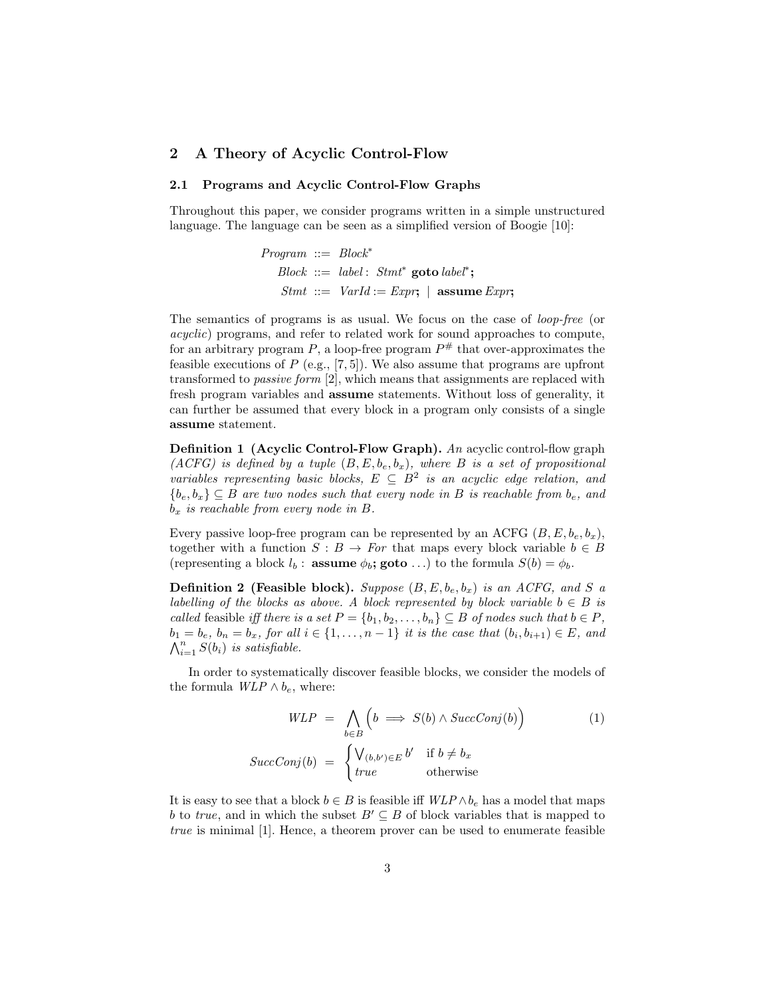### 2 A Theory of Acyclic Control-Flow

#### 2.1 Programs and Acyclic Control-Flow Graphs

Throughout this paper, we consider programs written in a simple unstructured language. The language can be seen as a simplified version of Boogie [10]:

> $Program ::= Block^*$  $Block ::= label: Stmt^* \textbf{goto} label^*;$  $Stmt ::= |VarId := Expr; |$  assume  $Expr;$

The semantics of programs is as usual. We focus on the case of loop-free (or acyclic) programs, and refer to related work for sound approaches to compute, for an arbitrary program  $P$ , a loop-free program  $P^{\#}$  that over-approximates the feasible executions of  $P$  (e.g., [7, 5]). We also assume that programs are upfront transformed to passive form [2], which means that assignments are replaced with fresh program variables and assume statements. Without loss of generality, it can further be assumed that every block in a program only consists of a single assume statement.

Definition 1 (Acyclic Control-Flow Graph). An acyclic control-flow graph (ACFG) is defined by a tuple  $(B, E, b_e, b_x)$ , where B is a set of propositional variables representing basic blocks,  $E \subseteq B^2$  is an acyclic edge relation, and  ${b_e, b_x} \subseteq B$  are two nodes such that every node in B is reachable from  $b_e$ , and  $b_x$  is reachable from every node in B.

Every passive loop-free program can be represented by an ACFG  $(B, E, b_e, b_x)$ , together with a function  $S : B \to For$  that maps every block variable  $b \in B$ (representing a block  $l_b$ : assume  $\phi_b$ ; goto ...) to the formula  $S(b) = \phi_b$ .

**Definition 2 (Feasible block).** Suppose  $(B, E, b_e, b_x)$  is an ACFG, and S a labelling of the blocks as above. A block represented by block variable  $b \in B$  is called feasible iff there is a set  $P = \{b_1, b_2, \ldots, b_n\} \subseteq B$  of nodes such that  $b \in P$ ,  $b_1 = b_e, b_n = b_x$ , for all  $i \in \{1, \ldots, n-1\}$  it is the case that  $(b_i, b_{i+1}) \in E$ , and  $\bigwedge_{i=1}^n S(b_i)$  is satisfiable.

In order to systematically discover feasible blocks, we consider the models of the formula  $WLP \wedge b_e$ , where:

$$
WLP = \bigwedge_{b \in B} \left( b \implies S(b) \land SuccConj(b) \right) \tag{1}
$$

$$
SuccConj(b) = \begin{cases} \bigvee_{(b,b') \in E} b' & \text{if } b \neq b_x \\ \text{true} & \text{otherwise} \end{cases}
$$

It is easy to see that a block  $b \in B$  is feasible iff  $WLP \wedge b_e$  has a model that maps b to true, and in which the subset  $B' \subseteq B$  of block variables that is mapped to true is minimal [1]. Hence, a theorem prover can be used to enumerate feasible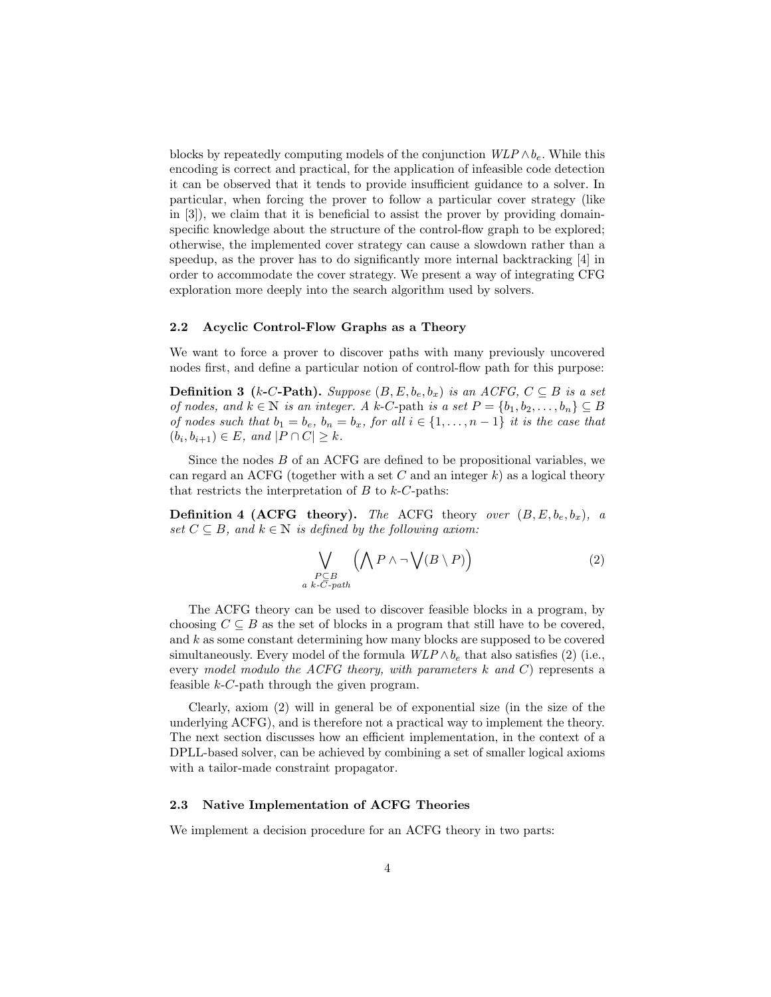blocks by repeatedly computing models of the conjunction  $WLP \wedge b_e$ . While this encoding is correct and practical, for the application of infeasible code detection it can be observed that it tends to provide insufficient guidance to a solver. In particular, when forcing the prover to follow a particular cover strategy (like in [3]), we claim that it is beneficial to assist the prover by providing domainspecific knowledge about the structure of the control-flow graph to be explored; otherwise, the implemented cover strategy can cause a slowdown rather than a speedup, as the prover has to do significantly more internal backtracking [4] in order to accommodate the cover strategy. We present a way of integrating CFG exploration more deeply into the search algorithm used by solvers.

#### 2.2 Acyclic Control-Flow Graphs as a Theory

We want to force a prover to discover paths with many previously uncovered nodes first, and define a particular notion of control-flow path for this purpose:

**Definition 3** (k-C-Path). Suppose  $(B, E, b_e, b_x)$  is an ACFG,  $C \subseteq B$  is a set of nodes, and  $k \in \mathbb{N}$  is an integer. A k-C-path is a set  $P = \{b_1, b_2, \ldots, b_n\} \subseteq B$ of nodes such that  $b_1 = b_e$ ,  $b_n = b_x$ , for all  $i \in \{1, \ldots, n-1\}$  it is the case that  $(b_i, b_{i+1}) \in E$ , and  $|P \cap C| \geq k$ .

Since the nodes  $B$  of an ACFG are defined to be propositional variables, we can regard an ACFG (together with a set C and an integer  $k$ ) as a logical theory that restricts the interpretation of  $B$  to  $k$ -C-paths:

**Definition 4 (ACFG theory).** The ACFG theory over  $(B, E, b_e, b_x)$ , a set  $C \subseteq B$ , and  $k \in \mathbb{N}$  is defined by the following axiom:

$$
\bigvee_{\substack{P \subseteq B \\ a \; k \text{-}C\text{-}path}} \left( \bigwedge P \land \neg \bigvee (B \setminus P) \right) \tag{2}
$$

The ACFG theory can be used to discover feasible blocks in a program, by choosing  $C \subseteq B$  as the set of blocks in a program that still have to be covered, and  $k$  as some constant determining how many blocks are supposed to be covered simultaneously. Every model of the formula  $WLP \wedge b_e$  that also satisfies (2) (i.e., every model modulo the ACFG theory, with parameters  $k$  and  $C$ ) represents a feasible  $k$ -C-path through the given program.

Clearly, axiom (2) will in general be of exponential size (in the size of the underlying ACFG), and is therefore not a practical way to implement the theory. The next section discusses how an efficient implementation, in the context of a DPLL-based solver, can be achieved by combining a set of smaller logical axioms with a tailor-made constraint propagator.

#### 2.3 Native Implementation of ACFG Theories

We implement a decision procedure for an ACFG theory in two parts: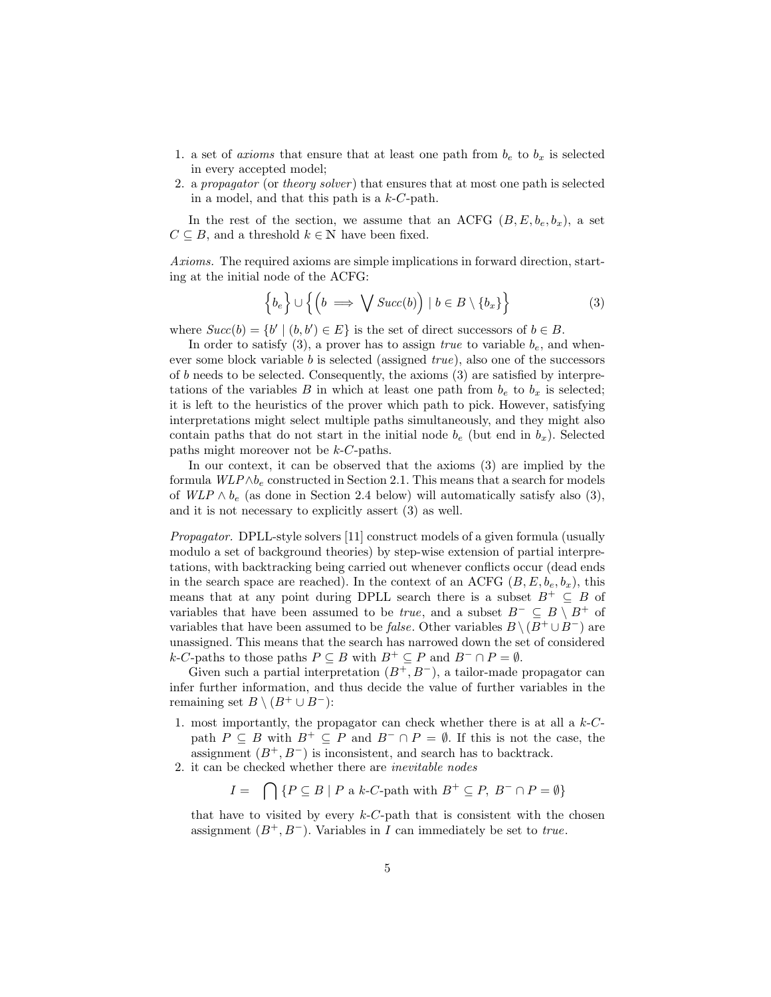- 1. a set of axioms that ensure that at least one path from  $b_e$  to  $b_x$  is selected in every accepted model;
- 2. a propagator (or theory solver) that ensures that at most one path is selected in a model, and that this path is a k-C-path.

In the rest of the section, we assume that an ACFG  $(B, E, b_e, b_x)$ , a set  $C \subseteq B$ , and a threshold  $k \in \mathbb{N}$  have been fixed.

Axioms. The required axioms are simple implications in forward direction, starting at the initial node of the ACFG:

$$
\left\{b_e\right\} \cup \left\{\left(b \implies \bigvee Succ(b)\right) \mid b \in B \setminus \{b_x\}\right\} \tag{3}
$$

where  $Succ(b) = \{b' \mid (b, b') \in E\}$  is the set of direct successors of  $b \in B$ .

In order to satisfy (3), a prover has to assign *true* to variable  $b_e$ , and whenever some block variable b is selected (assigned true), also one of the successors of b needs to be selected. Consequently, the axioms (3) are satisfied by interpretations of the variables B in which at least one path from  $b_e$  to  $b_x$  is selected; it is left to the heuristics of the prover which path to pick. However, satisfying interpretations might select multiple paths simultaneously, and they might also contain paths that do not start in the initial node  $b_e$  (but end in  $b_x$ ). Selected paths might moreover not be k-C-paths.

In our context, it can be observed that the axioms (3) are implied by the formula  $WLP \wedge b_e$  constructed in Section 2.1. This means that a search for models of  $WLP \wedge b_e$  (as done in Section 2.4 below) will automatically satisfy also (3), and it is not necessary to explicitly assert (3) as well.

Propagator. DPLL-style solvers [11] construct models of a given formula (usually modulo a set of background theories) by step-wise extension of partial interpretations, with backtracking being carried out whenever conflicts occur (dead ends in the search space are reached). In the context of an ACFG  $(B, E, b_e, b_x)$ , this means that at any point during DPLL search there is a subset  $B^+ \subseteq B$  of variables that have been assumed to be *true*, and a subset  $B^- \subseteq B \setminus B^+$  of variables that have been assumed to be *false*. Other variables  $B \setminus (B^+ \cup B^-)$  are unassigned. This means that the search has narrowed down the set of considered k-C-paths to those paths  $P \subseteq B$  with  $B^+ \subseteq P$  and  $B^- \cap P = \emptyset$ .

Given such a partial interpretation  $(B^+, B^-)$ , a tailor-made propagator can infer further information, and thus decide the value of further variables in the remaining set  $B \setminus (B^+ \cup B^-)$ :

- 1. most importantly, the propagator can check whether there is at all a  $k$ -Cpath  $P \subseteq B$  with  $B^+ \subseteq P$  and  $B^- \cap P = \emptyset$ . If this is not the case, the assignment  $(B^+, B^-)$  is inconsistent, and search has to backtrack.
- 2. it can be checked whether there are inevitable nodes

 $I = \bigcap \{ P \subseteq B \mid P \text{ a } k\text{-}C\text{-path with } B^+ \subseteq P, B^- \cap P = \emptyset \}$ 

that have to visited by every  $k$ -C-path that is consistent with the chosen assignment  $(B^+, B^-)$ . Variables in I can immediately be set to true.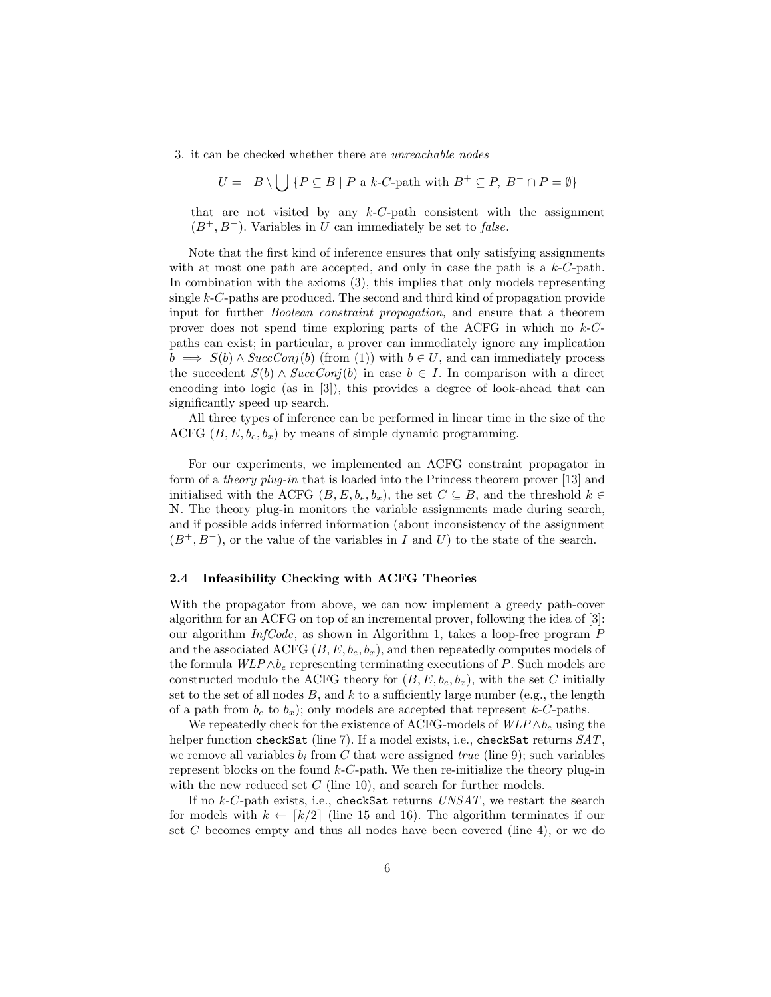3. it can be checked whether there are unreachable nodes

$$
U = B \setminus \bigcup \{ P \subseteq B \mid P \text{ a } k\text{-}C\text{-path with } B^+ \subseteq P, B^- \cap P = \emptyset \}
$$

that are not visited by any  $k$ -C-path consistent with the assignment  $(B^+, B^-)$ . Variables in U can immediately be set to false.

Note that the first kind of inference ensures that only satisfying assignments with at most one path are accepted, and only in case the path is a  $k$ -C-path. In combination with the axioms (3), this implies that only models representing single k-C-paths are produced. The second and third kind of propagation provide input for further Boolean constraint propagation, and ensure that a theorem prover does not spend time exploring parts of the ACFG in which no  $k$ -Cpaths can exist; in particular, a prover can immediately ignore any implication  $b \implies S(b) \wedge SuccConj(b)$  (from (1)) with  $b \in U$ , and can immediately process the succedent  $S(b) \wedge SuccConj(b)$  in case  $b \in I$ . In comparison with a direct encoding into logic (as in [3]), this provides a degree of look-ahead that can significantly speed up search.

All three types of inference can be performed in linear time in the size of the ACFG  $(B, E, b_e, b_x)$  by means of simple dynamic programming.

For our experiments, we implemented an ACFG constraint propagator in form of a theory plug-in that is loaded into the Princess theorem prover [13] and initialised with the ACFG  $(B, E, b_e, b_x)$ , the set  $C \subseteq B$ , and the threshold  $k \in$ N. The theory plug-in monitors the variable assignments made during search, and if possible adds inferred information (about inconsistency of the assignment  $(B^+, B^-)$ , or the value of the variables in I and U) to the state of the search.

#### 2.4 Infeasibility Checking with ACFG Theories

With the propagator from above, we can now implement a greedy path-cover algorithm for an ACFG on top of an incremental prover, following the idea of [3]: our algorithm  $InfCode$ , as shown in Algorithm 1, takes a loop-free program P and the associated ACFG  $(B, E, b_e, b_x)$ , and then repeatedly computes models of the formula  $WLP \wedge b_e$  representing terminating executions of P. Such models are constructed modulo the ACFG theory for  $(B, E, b_e, b_x)$ , with the set C initially set to the set of all nodes  $B$ , and  $k$  to a sufficiently large number (e.g., the length of a path from  $b_e$  to  $b_x$ ); only models are accepted that represent k-C-paths.

We repeatedly check for the existence of ACFG-models of  $WLP \wedge b_e$  using the helper function checkSat (line 7). If a model exists, i.e., checkSat returns SAT, we remove all variables  $b_i$  from C that were assigned true (line 9); such variables represent blocks on the found  $k$ -C-path. We then re-initialize the theory plug-in with the new reduced set  $C$  (line 10), and search for further models.

If no  $k$ -C-path exists, i.e., checkSat returns  $UNSAT$ , we restart the search for models with  $k \leftarrow [k/2]$  (line 15 and 16). The algorithm terminates if our set C becomes empty and thus all nodes have been covered (line 4), or we do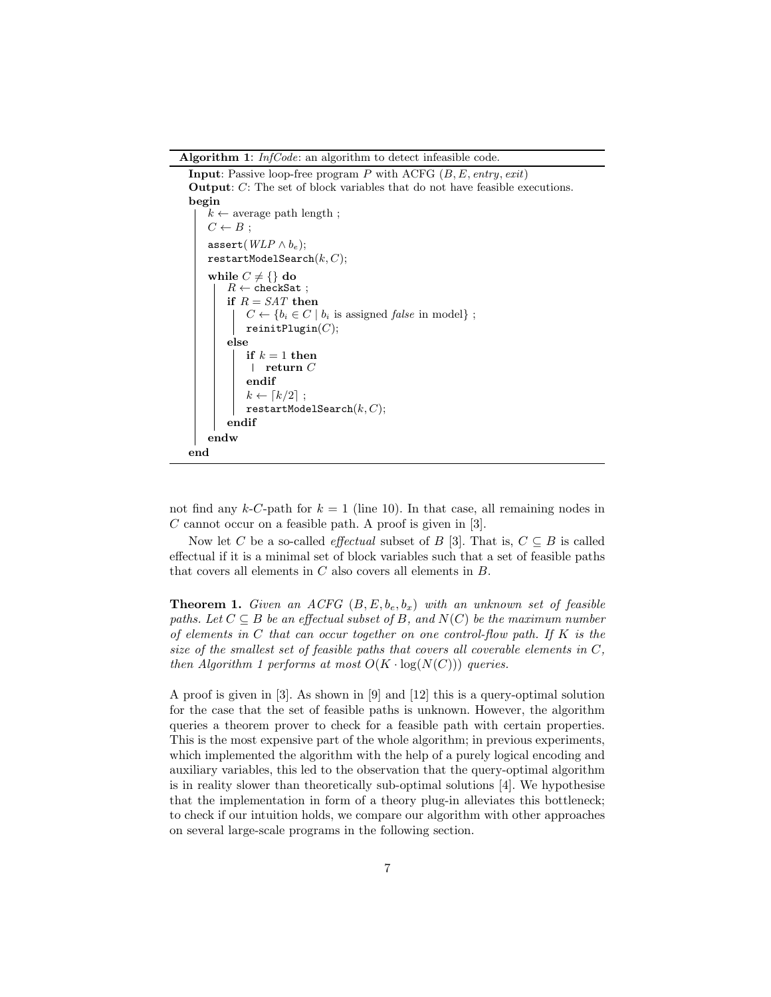Algorithm 1: *InfCode*: an algorithm to detect infeasible code.

**Input:** Passive loop-free program  $P$  with ACFG  $(B, E, entry, exit)$ 

```
Output: C: The set of block variables that do not have feasible executions.
begin
    k \leftarrow average path length;
    C \leftarrow B;
    assert(WLP \wedge b_e);restartModelSearch(k, C);
    while C \neq \{\} do
         R \leftarrow checkSat;
         if R = SAT then
             C \leftarrow \{b_i \in C \mid b_i \text{ is assigned } false \text{ in model}\};reinit\text{Plugin}(C);
         else
             if k = 1 then
                  return C
              endif
             k \leftarrow \lceil k/2 \rceil;
             restartModelSearch(k, C);
         endif
    endw
end
```
not find any k-C-path for  $k = 1$  (line 10). In that case, all remaining nodes in  $C$  cannot occur on a feasible path. A proof is given in [3].

Now let C be a so-called *effectual* subset of B [3]. That is,  $C \subseteq B$  is called effectual if it is a minimal set of block variables such that a set of feasible paths that covers all elements in C also covers all elements in B.

**Theorem 1.** Given an ACFG  $(B, E, b_e, b_x)$  with an unknown set of feasible paths. Let  $C \subseteq B$  be an effectual subset of B, and  $N(C)$  be the maximum number of elements in C that can occur together on one control-flow path. If K is the size of the smallest set of feasible paths that covers all coverable elements in  $C$ , then Algorithm 1 performs at most  $O(K \cdot \log(N(C)))$  queries.

A proof is given in [3]. As shown in [9] and [12] this is a query-optimal solution for the case that the set of feasible paths is unknown. However, the algorithm queries a theorem prover to check for a feasible path with certain properties. This is the most expensive part of the whole algorithm; in previous experiments, which implemented the algorithm with the help of a purely logical encoding and auxiliary variables, this led to the observation that the query-optimal algorithm is in reality slower than theoretically sub-optimal solutions [4]. We hypothesise that the implementation in form of a theory plug-in alleviates this bottleneck; to check if our intuition holds, we compare our algorithm with other approaches on several large-scale programs in the following section.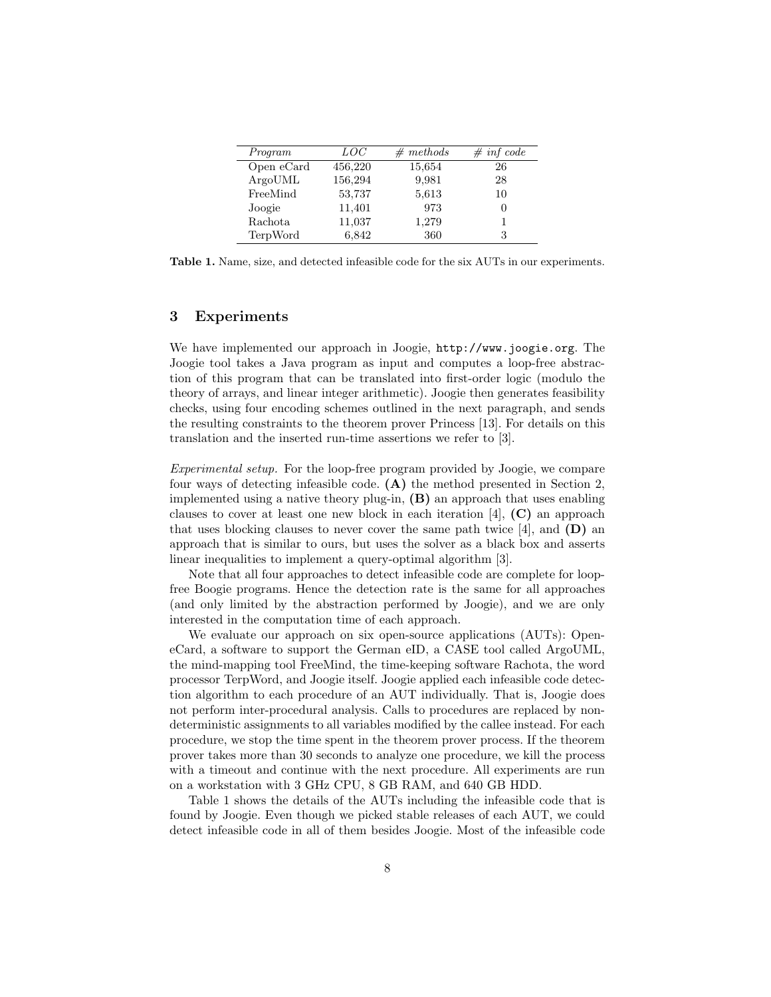| Program    | LOC     | $#$ methods | # inf code |
|------------|---------|-------------|------------|
| Open eCard | 456,220 | 15,654      | 26         |
| ArgoUML    | 156,294 | 9,981       | 28         |
| FreeMind   | 53,737  | 5,613       | 10         |
| Joogie     | 11,401  | 973         | 0          |
| Rachota    | 11,037  | 1,279       |            |
| TerpWord   | 6,842   | 360         | 3          |

Table 1. Name, size, and detected infeasible code for the six AUTs in our experiments.

#### 3 Experiments

We have implemented our approach in Joogie, http://www.joogie.org. The Joogie tool takes a Java program as input and computes a loop-free abstraction of this program that can be translated into first-order logic (modulo the theory of arrays, and linear integer arithmetic). Joogie then generates feasibility checks, using four encoding schemes outlined in the next paragraph, and sends the resulting constraints to the theorem prover Princess [13]. For details on this translation and the inserted run-time assertions we refer to [3].

Experimental setup. For the loop-free program provided by Joogie, we compare four ways of detecting infeasible code.  $(A)$  the method presented in Section 2, implemented using a native theory plug-in,  $(B)$  an approach that uses enabling clauses to cover at least one new block in each iteration [4],  $(C)$  an approach that uses blocking clauses to never cover the same path twice  $[4]$ , and  $(D)$  and approach that is similar to ours, but uses the solver as a black box and asserts linear inequalities to implement a query-optimal algorithm [3].

Note that all four approaches to detect infeasible code are complete for loopfree Boogie programs. Hence the detection rate is the same for all approaches (and only limited by the abstraction performed by Joogie), and we are only interested in the computation time of each approach.

We evaluate our approach on six open-source applications (AUTs): OpeneCard, a software to support the German eID, a CASE tool called ArgoUML, the mind-mapping tool FreeMind, the time-keeping software Rachota, the word processor TerpWord, and Joogie itself. Joogie applied each infeasible code detection algorithm to each procedure of an AUT individually. That is, Joogie does not perform inter-procedural analysis. Calls to procedures are replaced by nondeterministic assignments to all variables modified by the callee instead. For each procedure, we stop the time spent in the theorem prover process. If the theorem prover takes more than 30 seconds to analyze one procedure, we kill the process with a timeout and continue with the next procedure. All experiments are run on a workstation with 3 GHz CPU, 8 GB RAM, and 640 GB HDD.

Table 1 shows the details of the AUTs including the infeasible code that is found by Joogie. Even though we picked stable releases of each AUT, we could detect infeasible code in all of them besides Joogie. Most of the infeasible code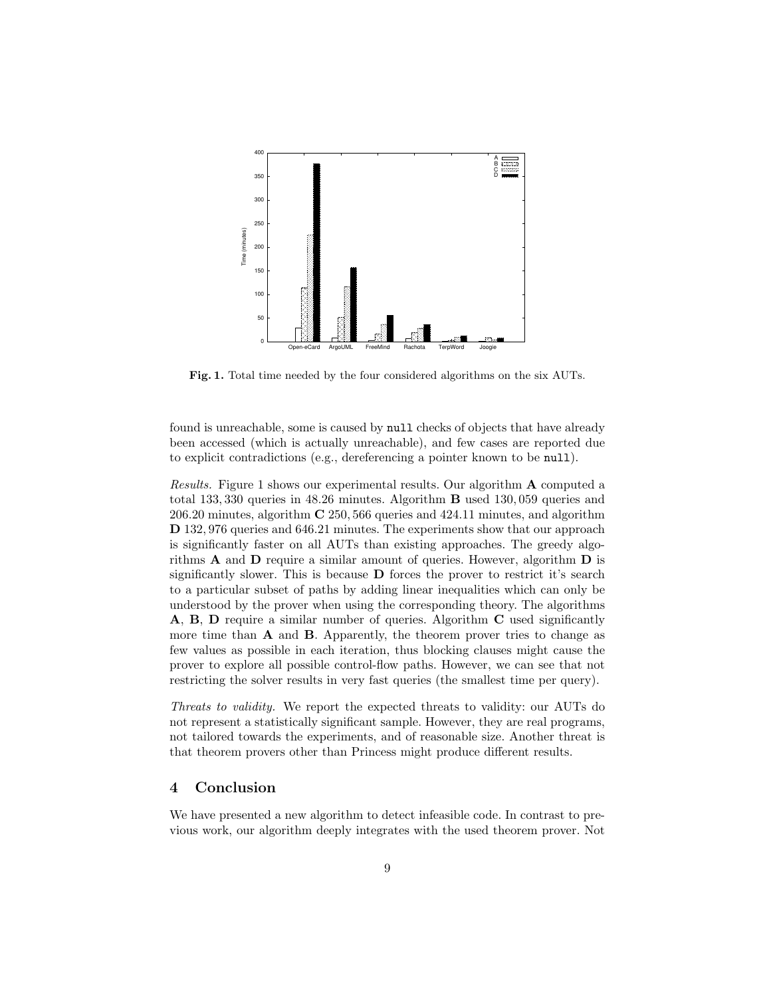

Fig. 1. Total time needed by the four considered algorithms on the six AUTs.

found is unreachable, some is caused by null checks of objects that have already been accessed (which is actually unreachable), and few cases are reported due to explicit contradictions (e.g., dereferencing a pointer known to be null).

Results. Figure 1 shows our experimental results. Our algorithm A computed a total 133, 330 queries in 48.26 minutes. Algorithm B used 130, 059 queries and 206.20 minutes, algorithm C 250, 566 queries and 424.11 minutes, and algorithm D 132, 976 queries and 646.21 minutes. The experiments show that our approach is significantly faster on all AUTs than existing approaches. The greedy algorithms  $A$  and  $D$  require a similar amount of queries. However, algorithm  $D$  is significantly slower. This is because  **forces the prover to restrict it's search** to a particular subset of paths by adding linear inequalities which can only be understood by the prover when using the corresponding theory. The algorithms A, B, D require a similar number of queries. Algorithm C used significantly more time than  $A$  and  $B$ . Apparently, the theorem prover tries to change as few values as possible in each iteration, thus blocking clauses might cause the prover to explore all possible control-flow paths. However, we can see that not restricting the solver results in very fast queries (the smallest time per query).

Threats to validity. We report the expected threats to validity: our AUTs do not represent a statistically significant sample. However, they are real programs, not tailored towards the experiments, and of reasonable size. Another threat is that theorem provers other than Princess might produce different results.

# 4 Conclusion

We have presented a new algorithm to detect infeasible code. In contrast to previous work, our algorithm deeply integrates with the used theorem prover. Not